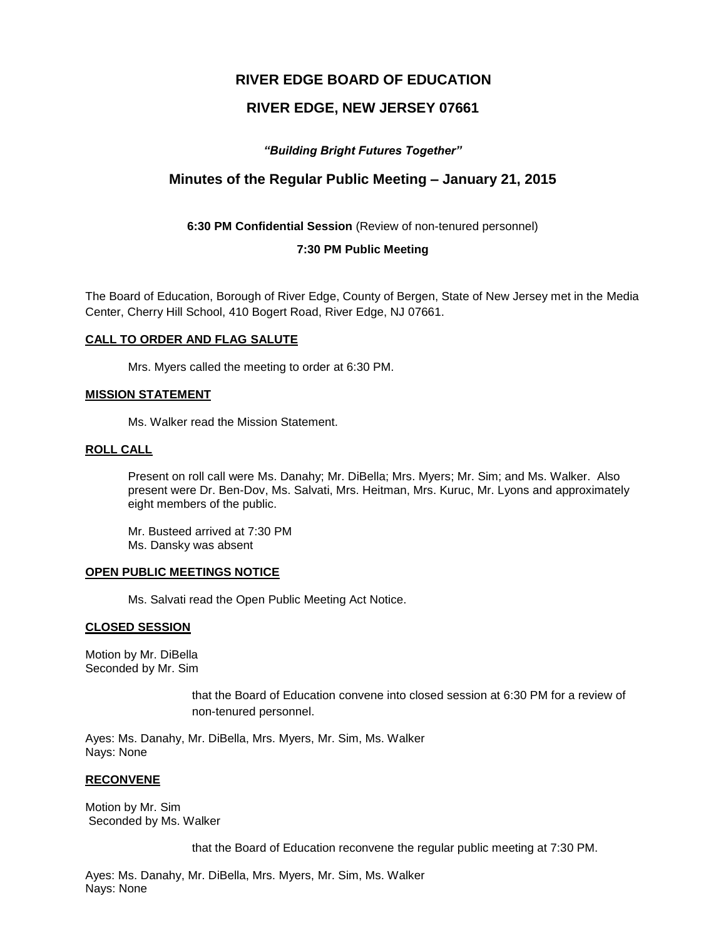# **RIVER EDGE BOARD OF EDUCATION**

# **RIVER EDGE, NEW JERSEY 07661**

# *"Building Bright Futures Together"*

# **Minutes of the Regular Public Meeting – January 21, 2015**

**6:30 PM Confidential Session** (Review of non-tenured personnel)

## **7:30 PM Public Meeting**

The Board of Education, Borough of River Edge, County of Bergen, State of New Jersey met in the Media Center, Cherry Hill School, 410 Bogert Road, River Edge, NJ 07661.

### **CALL TO ORDER AND FLAG SALUTE**

Mrs. Myers called the meeting to order at 6:30 PM.

## **MISSION STATEMENT**

Ms. Walker read the Mission Statement.

# **ROLL CALL**

Present on roll call were Ms. Danahy; Mr. DiBella; Mrs. Myers; Mr. Sim; and Ms. Walker. Also present were Dr. Ben-Dov, Ms. Salvati, Mrs. Heitman, Mrs. Kuruc, Mr. Lyons and approximately eight members of the public.

Mr. Busteed arrived at 7:30 PM Ms. Dansky was absent

### **OPEN PUBLIC MEETINGS NOTICE**

Ms. Salvati read the Open Public Meeting Act Notice.

### **CLOSED SESSION**

Motion by Mr. DiBella Seconded by Mr. Sim

> that the Board of Education convene into closed session at 6:30 PM for a review of non-tenured personnel.

Ayes: Ms. Danahy, Mr. DiBella, Mrs. Myers, Mr. Sim, Ms. Walker Nays: None

### **RECONVENE**

Motion by Mr. Sim Seconded by Ms. Walker

that the Board of Education reconvene the regular public meeting at 7:30 PM.

Ayes: Ms. Danahy, Mr. DiBella, Mrs. Myers, Mr. Sim, Ms. Walker Nays: None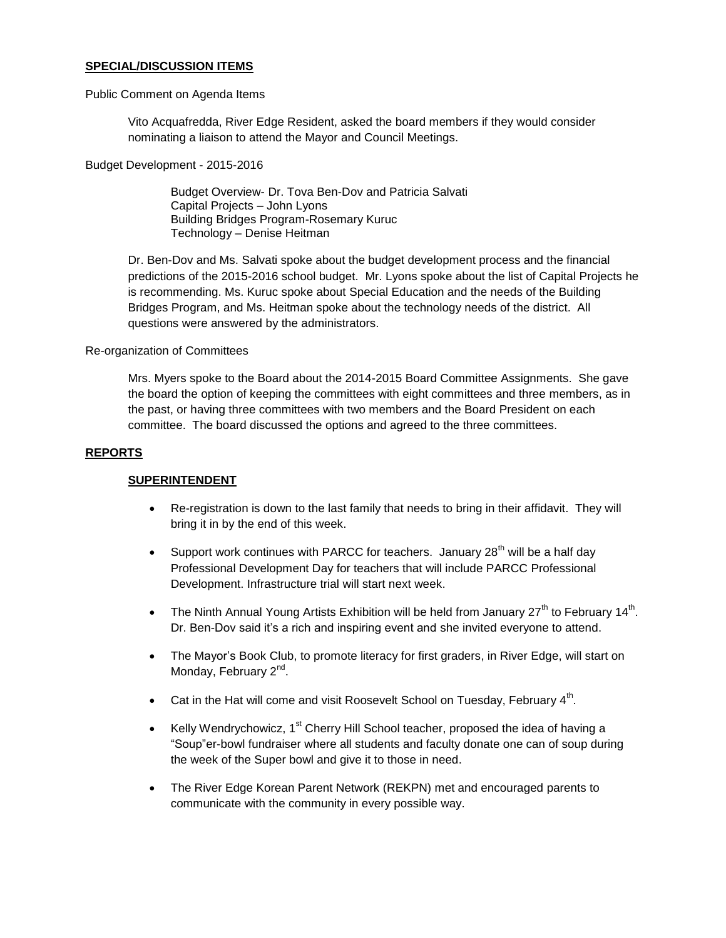### **SPECIAL/DISCUSSION ITEMS**

#### Public Comment on Agenda Items

Vito Acquafredda, River Edge Resident, asked the board members if they would consider nominating a liaison to attend the Mayor and Council Meetings.

Budget Development - 2015-2016

Budget Overview- Dr. Tova Ben-Dov and Patricia Salvati Capital Projects – John Lyons Building Bridges Program-Rosemary Kuruc Technology – Denise Heitman

Dr. Ben-Dov and Ms. Salvati spoke about the budget development process and the financial predictions of the 2015-2016 school budget. Mr. Lyons spoke about the list of Capital Projects he is recommending. Ms. Kuruc spoke about Special Education and the needs of the Building Bridges Program, and Ms. Heitman spoke about the technology needs of the district. All questions were answered by the administrators.

#### Re-organization of Committees

Mrs. Myers spoke to the Board about the 2014-2015 Board Committee Assignments. She gave the board the option of keeping the committees with eight committees and three members, as in the past, or having three committees with two members and the Board President on each committee. The board discussed the options and agreed to the three committees.

#### **REPORTS**

### **SUPERINTENDENT**

- Re-registration is down to the last family that needs to bring in their affidavit. They will bring it in by the end of this week.
- Support work continues with PARCC for teachers. January  $28<sup>th</sup>$  will be a half day Professional Development Day for teachers that will include PARCC Professional Development. Infrastructure trial will start next week.
- The Ninth Annual Young Artists Exhibition will be held from January  $27<sup>th</sup>$  to February 14<sup>th</sup>. Dr. Ben-Dov said it's a rich and inspiring event and she invited everyone to attend.
- The Mayor's Book Club, to promote literacy for first graders, in River Edge, will start on Monday, February 2<sup>nd</sup>.
- Cat in the Hat will come and visit Roosevelt School on Tuesday, February  $4<sup>th</sup>$ .
- Kelly Wendrychowicz,  $1<sup>st</sup>$  Cherry Hill School teacher, proposed the idea of having a "Soup"er-bowl fundraiser where all students and faculty donate one can of soup during the week of the Super bowl and give it to those in need.
- The River Edge Korean Parent Network (REKPN) met and encouraged parents to communicate with the community in every possible way.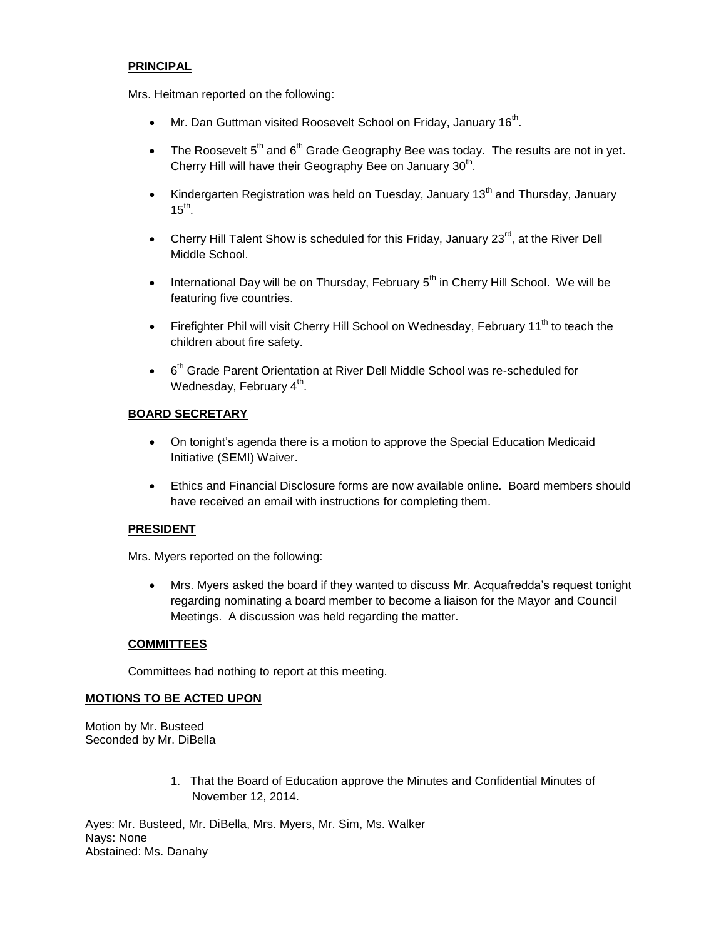## **PRINCIPAL**

Mrs. Heitman reported on the following:

- Mr. Dan Guttman visited Roosevelt School on Friday, January 16<sup>th</sup>.
- The Roosevelt  $5<sup>th</sup>$  and  $6<sup>th</sup>$  Grade Geography Bee was today. The results are not in yet. Cherry Hill will have their Geography Bee on January  $30<sup>th</sup>$ .
- Kindergarten Registration was held on Tuesday, January 13<sup>th</sup> and Thursday, January  $15<sup>th</sup>$ .
- Cherry Hill Talent Show is scheduled for this Friday, January  $23^{\text{rd}}$ , at the River Dell Middle School.
- **International Day will be on Thursday, February**  $5<sup>th</sup>$  **in Cherry Hill School. We will be** featuring five countries.
- Firefighter Phil will visit Cherry Hill School on Wednesday, February 11<sup>th</sup> to teach the children about fire safety.
- $\bullet$  6<sup>th</sup> Grade Parent Orientation at River Dell Middle School was re-scheduled for Wednesday, February  $4^{\text{th}}$ .

# **BOARD SECRETARY**

- On tonight's agenda there is a motion to approve the Special Education Medicaid Initiative (SEMI) Waiver.
- Ethics and Financial Disclosure forms are now available online. Board members should have received an email with instructions for completing them.

# **PRESIDENT**

Mrs. Myers reported on the following:

 Mrs. Myers asked the board if they wanted to discuss Mr. Acquafredda's request tonight regarding nominating a board member to become a liaison for the Mayor and Council Meetings. A discussion was held regarding the matter.

# **COMMITTEES**

Committees had nothing to report at this meeting.

# **MOTIONS TO BE ACTED UPON**

Motion by Mr. Busteed Seconded by Mr. DiBella

> 1. That the Board of Education approve the Minutes and Confidential Minutes of November 12, 2014.

Ayes: Mr. Busteed, Mr. DiBella, Mrs. Myers, Mr. Sim, Ms. Walker Nays: None Abstained: Ms. Danahy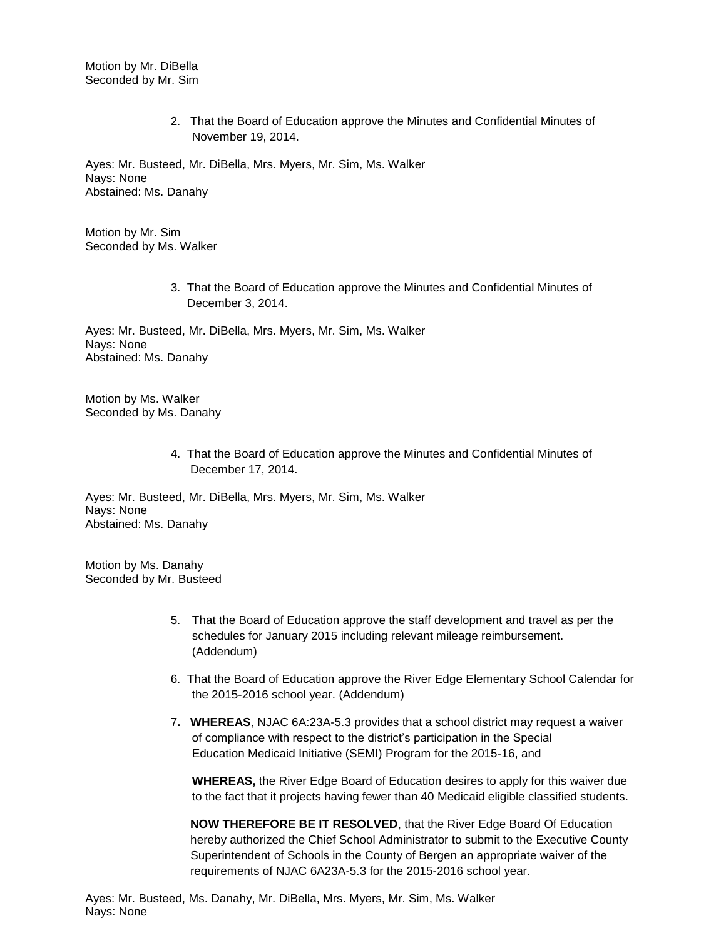Motion by Mr. DiBella Seconded by Mr. Sim

> 2. That the Board of Education approve the Minutes and Confidential Minutes of November 19, 2014.

Ayes: Mr. Busteed, Mr. DiBella, Mrs. Myers, Mr. Sim, Ms. Walker Nays: None Abstained: Ms. Danahy

Motion by Mr. Sim Seconded by Ms. Walker

> 3. That the Board of Education approve the Minutes and Confidential Minutes of December 3, 2014.

Ayes: Mr. Busteed, Mr. DiBella, Mrs. Myers, Mr. Sim, Ms. Walker Nays: None Abstained: Ms. Danahy

Motion by Ms. Walker Seconded by Ms. Danahy

> 4. That the Board of Education approve the Minutes and Confidential Minutes of December 17, 2014.

Ayes: Mr. Busteed, Mr. DiBella, Mrs. Myers, Mr. Sim, Ms. Walker Nays: None Abstained: Ms. Danahy

Motion by Ms. Danahy Seconded by Mr. Busteed

- 5. That the Board of Education approve the staff development and travel as per the schedules for January 2015 including relevant mileage reimbursement. (Addendum)
- 6. That the Board of Education approve the River Edge Elementary School Calendar for the 2015-2016 school year. (Addendum)
- 7**. WHEREAS**, NJAC 6A:23A-5.3 provides that a school district may request a waiver of compliance with respect to the district's participation in the Special Education Medicaid Initiative (SEMI) Program for the 2015-16, and

**WHEREAS,** the River Edge Board of Education desires to apply for this waiver due to the fact that it projects having fewer than 40 Medicaid eligible classified students.

 **NOW THEREFORE BE IT RESOLVED**, that the River Edge Board Of Education hereby authorized the Chief School Administrator to submit to the Executive County Superintendent of Schools in the County of Bergen an appropriate waiver of the requirements of NJAC 6A23A-5.3 for the 2015-2016 school year.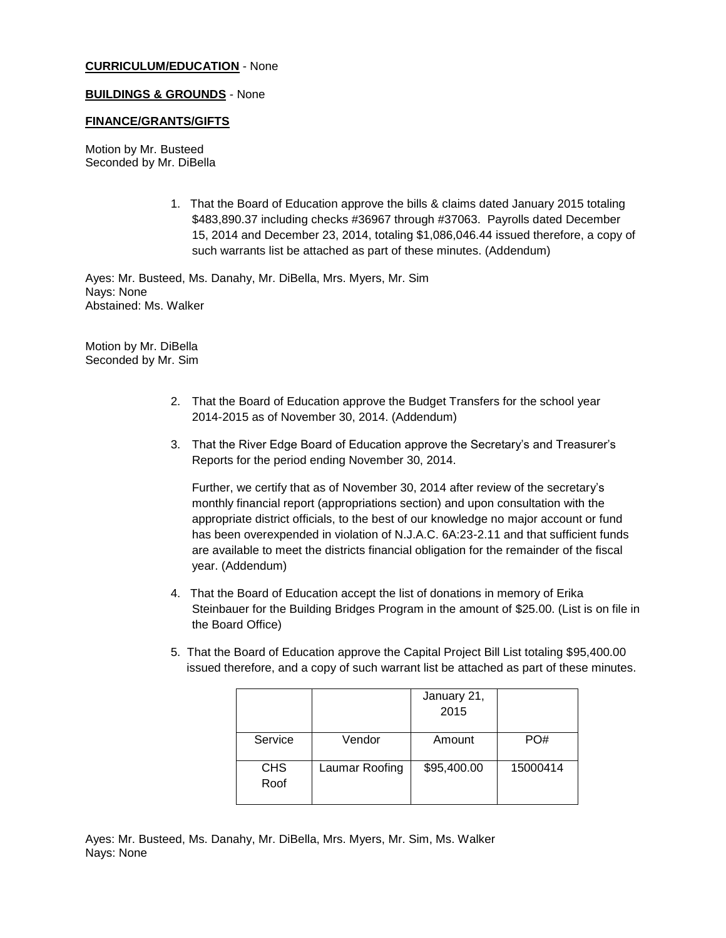### **CURRICULUM/EDUCATION** - None

### **BUILDINGS & GROUNDS** - None

### **FINANCE/GRANTS/GIFTS**

Motion by Mr. Busteed Seconded by Mr. DiBella

> 1. That the Board of Education approve the bills & claims dated January 2015 totaling \$483,890.37 including checks #36967 through #37063. Payrolls dated December 15, 2014 and December 23, 2014, totaling \$1,086,046.44 issued therefore, a copy of such warrants list be attached as part of these minutes. (Addendum)

Ayes: Mr. Busteed, Ms. Danahy, Mr. DiBella, Mrs. Myers, Mr. Sim Nays: None Abstained: Ms. Walker

Motion by Mr. DiBella Seconded by Mr. Sim

- 2. That the Board of Education approve the Budget Transfers for the school year 2014-2015 as of November 30, 2014. (Addendum)
- 3. That the River Edge Board of Education approve the Secretary's and Treasurer's Reports for the period ending November 30, 2014.

Further, we certify that as of November 30, 2014 after review of the secretary's monthly financial report (appropriations section) and upon consultation with the appropriate district officials, to the best of our knowledge no major account or fund has been overexpended in violation of N.J.A.C. 6A:23-2.11 and that sufficient funds are available to meet the districts financial obligation for the remainder of the fiscal year. (Addendum)

- 4. That the Board of Education accept the list of donations in memory of Erika Steinbauer for the Building Bridges Program in the amount of \$25.00. (List is on file in the Board Office)
- 5. That the Board of Education approve the Capital Project Bill List totaling \$95,400.00 issued therefore, and a copy of such warrant list be attached as part of these minutes.

|                    |                | January 21,<br>2015 |          |
|--------------------|----------------|---------------------|----------|
| Service            | Vendor         | Amount              | PO#      |
| <b>CHS</b><br>Roof | Laumar Roofing | \$95,400.00         | 15000414 |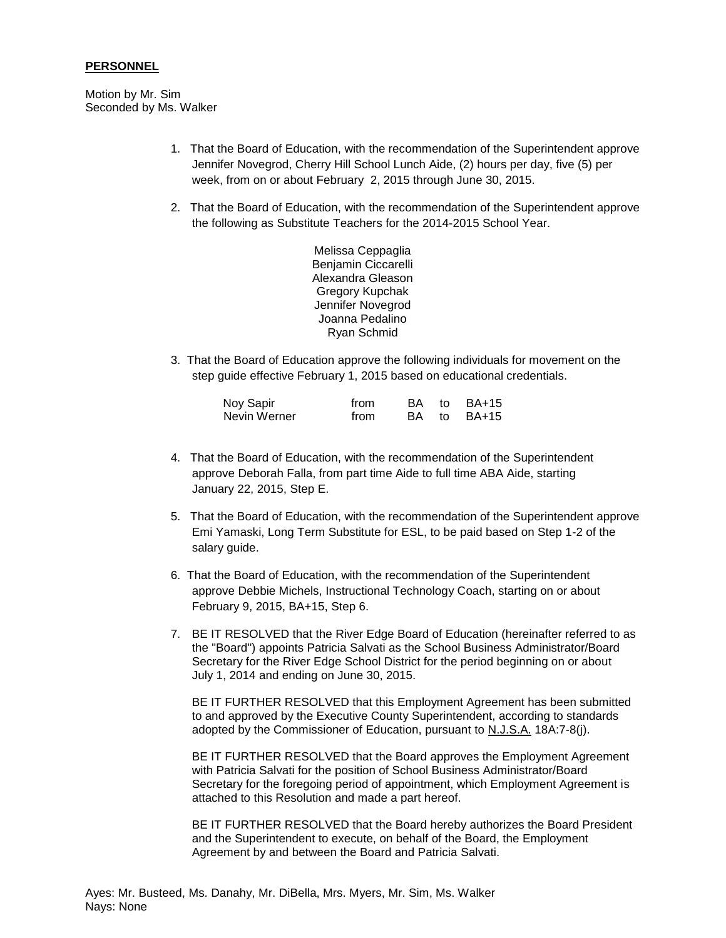### **PERSONNEL**

Motion by Mr. Sim Seconded by Ms. Walker

- 1. That the Board of Education, with the recommendation of the Superintendent approve Jennifer Novegrod, Cherry Hill School Lunch Aide, (2) hours per day, five (5) per week, from on or about February 2, 2015 through June 30, 2015.
- 2. That the Board of Education, with the recommendation of the Superintendent approve the following as Substitute Teachers for the 2014-2015 School Year.

Melissa Ceppaglia Benjamin Ciccarelli Alexandra Gleason Gregory Kupchak Jennifer Novegrod Joanna Pedalino Ryan Schmid

3. That the Board of Education approve the following individuals for movement on the step guide effective February 1, 2015 based on educational credentials.

| Noy Sapir    | from |  | BA to BA+15 |
|--------------|------|--|-------------|
| Nevin Werner | from |  | BA to BA+15 |

- 4. That the Board of Education, with the recommendation of the Superintendent approve Deborah Falla, from part time Aide to full time ABA Aide, starting January 22, 2015, Step E.
- 5. That the Board of Education, with the recommendation of the Superintendent approve Emi Yamaski, Long Term Substitute for ESL, to be paid based on Step 1-2 of the salary guide.
- 6. That the Board of Education, with the recommendation of the Superintendent approve Debbie Michels, Instructional Technology Coach, starting on or about February 9, 2015, BA+15, Step 6.
- 7. BE IT RESOLVED that the River Edge Board of Education (hereinafter referred to as the "Board") appoints Patricia Salvati as the School Business Administrator/Board Secretary for the River Edge School District for the period beginning on or about July 1, 2014 and ending on June 30, 2015.

BE IT FURTHER RESOLVED that this Employment Agreement has been submitted to and approved by the Executive County Superintendent, according to standards adopted by the Commissioner of Education, pursuant to N.J.S.A. 18A:7-8(j).

BE IT FURTHER RESOLVED that the Board approves the Employment Agreement with Patricia Salvati for the position of School Business Administrator/Board Secretary for the foregoing period of appointment, which Employment Agreement is attached to this Resolution and made a part hereof.

BE IT FURTHER RESOLVED that the Board hereby authorizes the Board President and the Superintendent to execute, on behalf of the Board, the Employment Agreement by and between the Board and Patricia Salvati.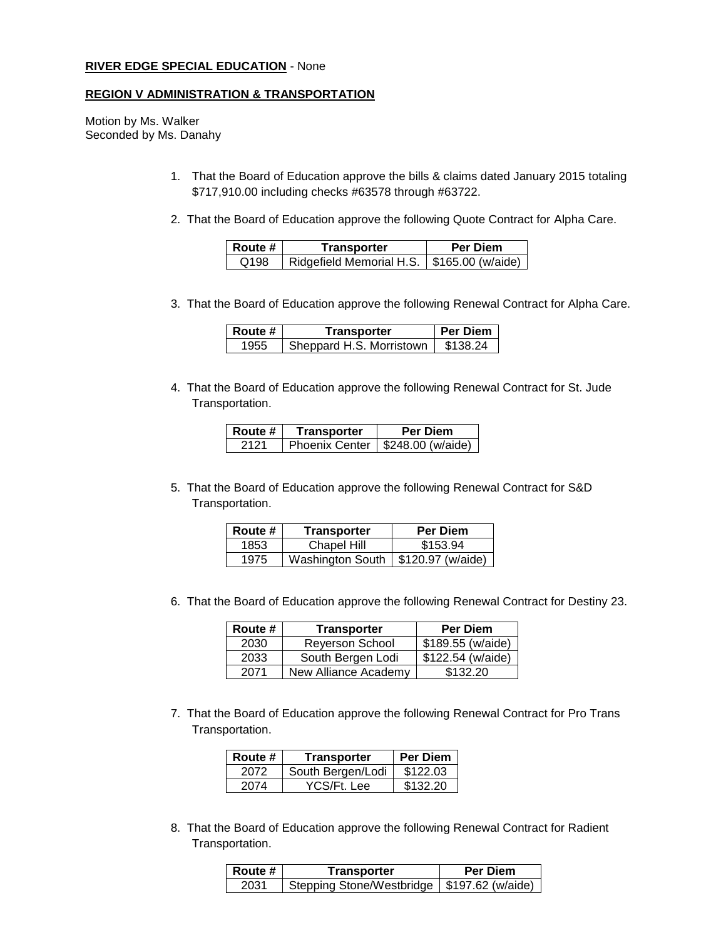#### **RIVER EDGE SPECIAL EDUCATION** - None

#### **REGION V ADMINISTRATION & TRANSPORTATION**

Motion by Ms. Walker Seconded by Ms. Danahy

- 1. That the Board of Education approve the bills & claims dated January 2015 totaling \$717,910.00 including checks #63578 through #63722.
- 2. That the Board of Education approve the following Quote Contract for Alpha Care.

| l Route # | Transporter              | Per Diem                        |  |
|-----------|--------------------------|---------------------------------|--|
| Q198      | Ridgefield Memorial H.S. | $\frac{1}{2}$ \$165.00 (w/aide) |  |

3.That the Board of Education approve the following Renewal Contract for Alpha Care.

| Route # | Transporter              | l Per Diem |
|---------|--------------------------|------------|
| 1955    | Sheppard H.S. Morristown | \$138.24   |

4. That the Board of Education approve the following Renewal Contract for St. Jude Transportation.

| Route # | Transporter | Per Diem                           |
|---------|-------------|------------------------------------|
| 2121    |             | Phoenix Center   \$248.00 (w/aide) |

5. That the Board of Education approve the following Renewal Contract for S&D Transportation.

| Route # | Transporter                          | <b>Per Diem</b> |
|---------|--------------------------------------|-----------------|
| 1853    | Chapel Hill                          | \$153.94        |
| 1975    | Washington South   \$120.97 (w/aide) |                 |

6. That the Board of Education approve the following Renewal Contract for Destiny 23.

| Route # | Transporter            | <b>Per Diem</b>   |
|---------|------------------------|-------------------|
| 2030    | <b>Reyerson School</b> | \$189.55 (w/aide) |
| 2033    | South Bergen Lodi      | \$122.54 (w/aide) |
| 2071    | New Alliance Academy   | \$132.20          |

7. That the Board of Education approve the following Renewal Contract for Pro Trans Transportation.

| Route # | <b>Transporter</b> | <b>Per Diem</b> |
|---------|--------------------|-----------------|
| 2072    | South Bergen/Lodi  | \$122.03        |
| 2074    | YCS/Ft. Lee        | \$132.20        |

8. That the Board of Education approve the following Renewal Contract for Radient Transportation.

| <b>Route</b> # | Transporter                                   | Per Diem |
|----------------|-----------------------------------------------|----------|
| 2031           | Stepping Stone/Westbridge   \$197.62 (w/aide) |          |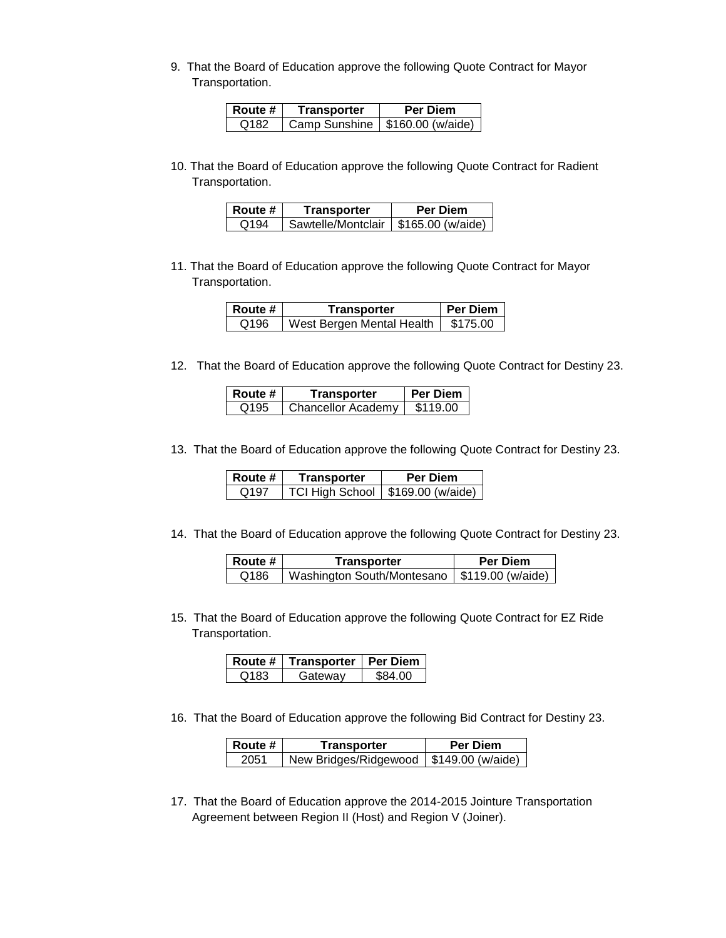9. That the Board of Education approve the following Quote Contract for Mayor Transportation.

| Route #          | Transporter                       | <b>Per Diem</b> |
|------------------|-----------------------------------|-----------------|
| O <sub>182</sub> | Camp Sunshine   \$160.00 (w/aide) |                 |

10. That the Board of Education approve the following Quote Contract for Radient Transportation.

| Route # | Transporter        | Per Diem          |
|---------|--------------------|-------------------|
| Q194    | Sawtelle/Montclair | \$165.00 (w/aide) |

11. That the Board of Education approve the following Quote Contract for Mayor Transportation.

| <b>Route</b> # | Transporter               | <b>Per Diem</b> |
|----------------|---------------------------|-----------------|
| Q196           | West Bergen Mental Health | \$175.00        |

12. That the Board of Education approve the following Quote Contract for Destiny 23.

| Route #          | Transporter               | Per Diem |
|------------------|---------------------------|----------|
| Q <sub>195</sub> | <b>Chancellor Academy</b> | \$119.00 |

13. That the Board of Education approve the following Quote Contract for Destiny 23.

| Route # | Transporter                         | Per Diem |
|---------|-------------------------------------|----------|
| Q197    | TCI High School   \$169.00 (w/aide) |          |

14. That the Board of Education approve the following Quote Contract for Destiny 23.

| <b>Route</b> # | Transporter                                    | <b>Per Diem</b> |
|----------------|------------------------------------------------|-----------------|
| Q186           | Washington South/Montesano   \$119.00 (w/aide) |                 |

15. That the Board of Education approve the following Quote Contract for EZ Ride Transportation.

|      | Route #   Transporter   Per Diem |         |
|------|----------------------------------|---------|
| Q183 | Gateway                          | \$84.00 |

16. That the Board of Education approve the following Bid Contract for Destiny 23.

| l Route # | Transporter           | <b>Per Diem</b>   |
|-----------|-----------------------|-------------------|
| 2051      | New Bridges/Ridgewood | \$149.00 (w/aide) |

17. That the Board of Education approve the 2014-2015 Jointure Transportation Agreement between Region II (Host) and Region V (Joiner).